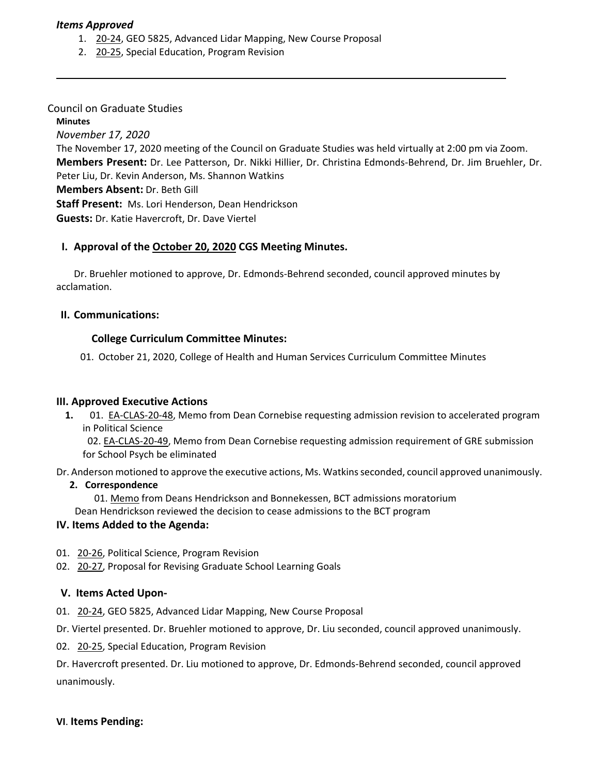### *Items Approved*

- 1. 20‐[24,](https://castle.eiu.edu/eiucgs/currentagendaitems/agenda20-24.pdf) GEO 5825, Advanced Lidar Mapping, New Course Proposal
- 2. [20](https://castle.eiu.edu/eiucgs/currentagendaitems/agenda20-25.pdf)‐25, Special Education, Program Revision

## Council on Graduate Studies

## **Minutes**

*November 17, 2020*

The November 17, 2020 meeting of the Council on Graduate Studies was held virtually at 2:00 pm via Zoom. **Members Present:** Dr. Lee Patterson, Dr. Nikki Hillier, Dr. Christina Edmonds‐Behrend, Dr. Jim Bruehler, Dr. Peter Liu, Dr. Kevin Anderson, Ms. Shannon Watkins

**Members Absent:** Dr. Beth Gill

**Staff Present:** Ms. Lori Henderson, Dean Hendrickson

**Guests:** Dr. Katie Havercroft, Dr. Dave Viertel

## **I. Approval of the [October](https://castle.eiu.edu/~eiucgs/currentminutes/Minutes10-20-20.pdf) 20, 2020 CGS Meeting Minutes.**

Dr. Bruehler motioned to approve, Dr. Edmonds‐Behrend seconded, council approved minutes by acclamation.

## **II. Communications:**

## **College Curriculum Committee Minutes:**

01. October 21, 2020, College of Health and Human Services Curriculum Committee Minutes

#### **III. Approved Executive Actions**

**1.** 01.EA‐[CLAS](https://castle.eiu.edu/eiucgs/exec-actions/EA-CLAS-20-48.pdf)‐20‐48, Memo from Dean Cornebise requesting admission revision to accelerated program in Political Science

 02. EA‐[CLAS](https://castle.eiu.edu/eiucgs/exec-actions/EA-CLAS-20-49.pdf)‐20‐49, Memo from Dean Cornebise requesting admission requirement of GRE submission for School Psych be eliminated

Dr. Anderson motioned to approve the executive actions, Ms. Watkinsseconded, council approved unanimously.

#### **2. Correspondence**

01. [Memo](https://castle.eiu.edu/eiucgs/BCT%20Memo.pdf) from Deans Hendrickson and Bonnekessen, BCT admissions moratorium Dean Hendrickson reviewed the decision to cease admissions to the BCT program

#### **IV. Items Added to the Agenda:**

- 01. 20‐[26,](https://castle.eiu.edu/eiucgs/currentagendaitems/agenda20-26.pdf) Political Science, Program Revision
- 02. 20-[27,](https://castle.eiu.edu/eiucgs/currentagendaitems/agenda20-27.pdf) Proposal for Revising Graduate School Learning Goals

## **V. Items Acted Upon‐**

01. 20-[24,](https://castle.eiu.edu/eiucgs/currentagendaitems/agenda20-24.pdf) GEO 5825, Advanced Lidar Mapping, New Course Proposal

Dr. Viertel presented. Dr. Bruehler motioned to approve, Dr. Liu seconded, council approved unanimously.

02. 20‐[25,](https://castle.eiu.edu/eiucgs/currentagendaitems/agenda20-25.pdf) Special Education, Program Revision

Dr. Havercroft presented. Dr. Liu motioned to approve, Dr. Edmonds‐Behrend seconded, council approved unanimously.

#### **VI**. **Items Pending:**